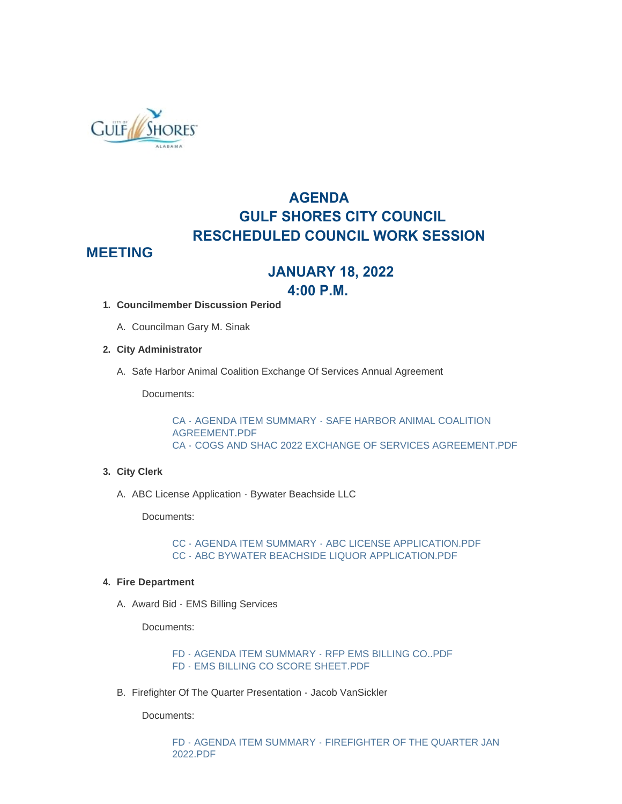

# **AGENDA GULF SHORES CITY COUNCIL RESCHEDULED COUNCIL WORK SESSION**

# **MEETING**

# **JANUARY 18, 2022**

## **4:00 P.M.**

- **Councilmember Discussion Period 1.**
	- A. Councilman Gary M. Sinak
- **City Administrator 2.**
	- A. Safe Harbor Animal Coalition Exchange Of Services Annual Agreement

Documents:

[CA - AGENDA ITEM SUMMARY - SAFE HARBOR ANIMAL COALITION](https://www.gulfshoresal.gov/AgendaCenter/ViewFile/Item/9660?fileID=20197)  AGREEMENT.PDF [CA - COGS AND SHAC 2022 EXCHANGE OF SERVICES AGREEMENT.PDF](https://www.gulfshoresal.gov/AgendaCenter/ViewFile/Item/9660?fileID=20198)

### **City Clerk 3.**

A. ABC License Application - Bywater Beachside LLC

Documents:

[CC - AGENDA ITEM SUMMARY - ABC LICENSE APPLICATION.PDF](https://www.gulfshoresal.gov/AgendaCenter/ViewFile/Item/9665?fileID=20206) [CC - ABC BYWATER BEACHSIDE LIQUOR APPLICATION.PDF](https://www.gulfshoresal.gov/AgendaCenter/ViewFile/Item/9665?fileID=20205)

### **Fire Department 4.**

A. Award Bid - EMS Billing Services

Documents:

[FD - AGENDA ITEM SUMMARY - RFP EMS BILLING CO..PDF](https://www.gulfshoresal.gov/AgendaCenter/ViewFile/Item/9662?fileID=20202) [FD - EMS BILLING CO SCORE SHEET.PDF](https://www.gulfshoresal.gov/AgendaCenter/ViewFile/Item/9662?fileID=20203)

B. Firefighter Of The Quarter Presentation - Jacob VanSickler

Documents:

[FD - AGENDA ITEM SUMMARY - FIREFIGHTER OF THE QUARTER JAN](https://www.gulfshoresal.gov/AgendaCenter/ViewFile/Item/9661?fileID=20199)  2022.PDF